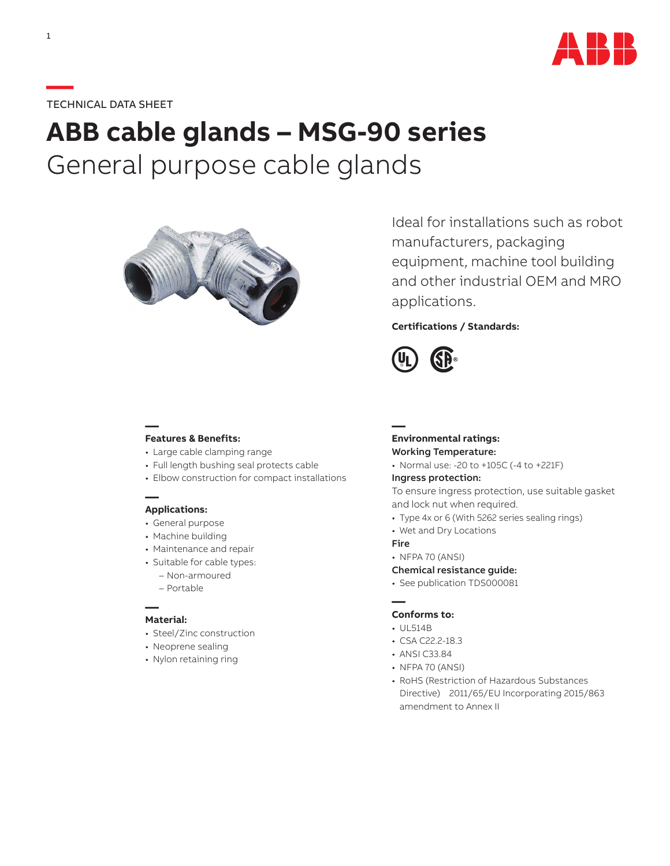

# **—**TECHNICAL DATA SHEET

# **ABB cable glands – MSG-90 series** General purpose cable glands



Ideal for installations such as robot manufacturers, packaging equipment, machine tool building and other industrial OEM and MRO applications.

## **Certifications / Standards:**



#### **— Features & Benefits:**

- Large cable clamping range
- Full length bushing seal protects cable
- Elbow construction for compact installations

### **— Applications:**

- General purpose
- Machine building
- Maintenance and repair
- Suitable for cable types:
	- Non-armoured
	- Portable

#### **— Material:**

- Steel/Zinc construction
- Neoprene sealing
- Nylon retaining ring

#### **Environmental ratings:** Working Temperature:

• Normal use: -20 to +105C (-4 to +221F)

#### Ingress protection:

To ensure ingress protection, use suitable gasket and lock nut when required.

- Type 4x or 6 (With 5262 series sealing rings)
- Wet and Dry Locations

#### Fire

**—**

• NFPA 70 (ANSI)

#### Chemical resistance guide:

• See publication TDS000081

#### **— Conforms to:**

- UL514B
- CSA C22.2-18.3
- ANSI C33.84
- NFPA 70 (ANSI)
- RoHS (Restriction of Hazardous Substances Directive) 2011/65/EU Incorporating 2015/863 amendment to Annex II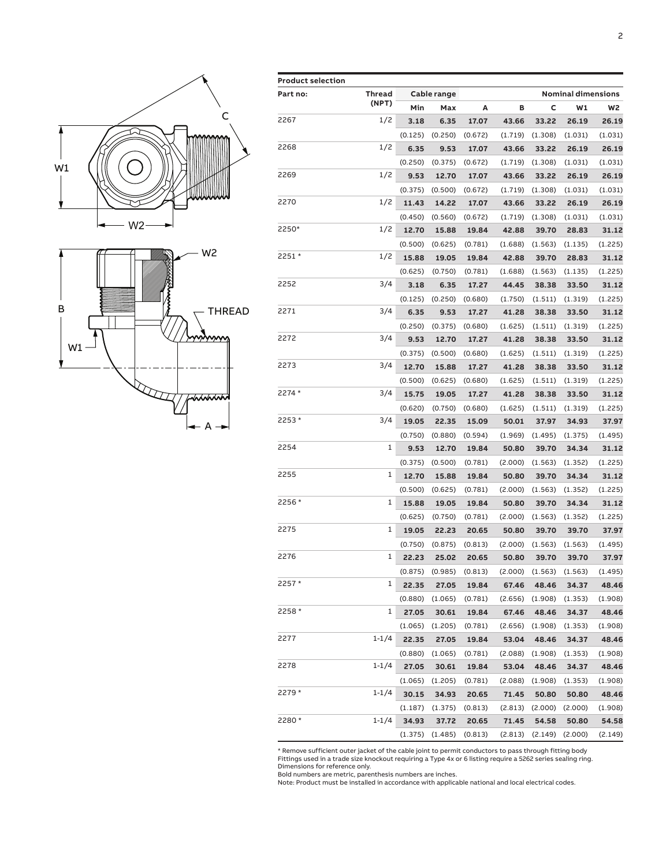

| <b>Product selection</b> |               |             |                     |         |         |                           |         |         |  |  |  |
|--------------------------|---------------|-------------|---------------------|---------|---------|---------------------------|---------|---------|--|--|--|
| Part no:                 | <b>Thread</b> | Cable range |                     |         |         | <b>Nominal dimensions</b> |         |         |  |  |  |
|                          | (NPT)         | Min         | Max                 | Α       | в       | c                         | W1      | W2      |  |  |  |
| 2267                     | 1/2           | 3.18        | 6.35                | 17.07   | 43.66   | 33.22                     | 26.19   | 26.19   |  |  |  |
|                          |               | (0.125)     | (0.250)             | (0.672) | (1.719) | (1.308)                   | (1.031) | (1.031) |  |  |  |
| 2268                     | 1/2           | 6.35        | 9.53                | 17.07   | 43.66   | 33.22                     | 26.19   | 26.19   |  |  |  |
|                          |               | (0.250)     | (0.375)             | (0.672) | (1.719) | (1.308)                   | (1.031) | (1.031) |  |  |  |
| 2269                     | 1/2           | 9.53        | 12.70               | 17.07   | 43.66   | 33.22                     | 26.19   | 26.19   |  |  |  |
|                          |               | (0.375)     | (0.500)             | (0.672) | (1.719) | (1.308)                   | (1.031) | (1.031) |  |  |  |
| 2270                     | 1/2           | 11.43       | 14.22               | 17.07   | 43.66   | 33.22                     | 26.19   | 26.19   |  |  |  |
|                          |               | (0.450)     | (0.560)             | (0.672) | (1.719) | (1.308)                   | (1.031) | (1.031) |  |  |  |
| 2250*                    | 1/2           | 12.70       | 15.88               | 19.84   | 42.88   | 39.70                     | 28.83   | 31.12   |  |  |  |
|                          |               | (0.500)     | (0.625)             | (0.781) | (1.688) | (1.563)                   | (1.135) | (1.225) |  |  |  |
| 2251 *                   | 1/2           | 15.88       | 19.05               | 19.84   | 42.88   | 39.70                     | 28.83   | 31.12   |  |  |  |
|                          |               | (0.625)     | (0.750)             | (0.781) | (1.688) | (1.563)                   | (1.135) | (1.225) |  |  |  |
| 2252                     | 3/4           | 3.18        | 6.35                | 17.27   | 44.45   | 38.38                     | 33.50   | 31.12   |  |  |  |
|                          |               | (0.125)     | (0.250)             | (0.680) | (1.750) | (1.511)                   | (1.319) | (1.225) |  |  |  |
| 2271                     | 3/4           | 6.35        | 9.53                | 17.27   | 41.28   | 38.38                     | 33.50   | 31.12   |  |  |  |
|                          |               | (0.250)     | (0.375)             | (0.680) | (1.625) | (1.511)                   | (1.319) | (1.225) |  |  |  |
| 2272                     | 3/4           | 9.53        | 12.70               | 17.27   | 41.28   | 38.38                     | 33.50   | 31.12   |  |  |  |
|                          |               | (0.375)     | (0.500)             | (0.680) | (1.625) | (1.511)                   | (1.319) | (1.225) |  |  |  |
| 2273                     | 3/4           | 12.70       | 15.88               | 17.27   | 41.28   | 38.38                     | 33.50   | 31.12   |  |  |  |
|                          |               | (0.500)     | (0.625)             | (0.680) | (1.625) | (1.511)                   | (1.319) | (1.225) |  |  |  |
| 2274 *                   | 3/4           | 15.75       | 19.05               | 17.27   | 41.28   | 38.38                     | 33.50   | 31.12   |  |  |  |
|                          |               | (0.620)     | (0.750)             | (0.680) | (1.625) | (1.511)                   | (1.319) | (1.225) |  |  |  |
| 2253 *                   | 3/4           | 19.05       | 22.35               | 15.09   | 50.01   | 37.97                     | 34.93   | 37.97   |  |  |  |
|                          |               | (0.750)     | (0.880)             | (0.594) | (1.969) | (1.495)                   | (1.375) | (1.495) |  |  |  |
| 2254                     | 1             | 9.53        | 12.70               | 19.84   | 50.80   | 39.70                     | 34.34   | 31.12   |  |  |  |
|                          |               | (0.375)     | (0.500)             | (0.781) | (2.000) | (1.563)                   | (1.352) | (1.225) |  |  |  |
| 2255                     | 1             | 12.70       | 15.88               | 19.84   | 50.80   | 39.70                     | 34.34   | 31.12   |  |  |  |
|                          |               | (0.500)     | (0.625)             | (0.781) | (2.000) | (1.563)                   | (1.352) | (1.225) |  |  |  |
| 2256 *                   | 1             | 15.88       | 19.05               | 19.84   | 50.80   | 39.70                     | 34.34   | 31.12   |  |  |  |
|                          |               | (0.625)     | (0.750)             | (0.781) | (2.000) | (1.563)                   | (1.352) | (1.225) |  |  |  |
| 2275                     | 1             | 19.05       | 22.23               | 20.65   | 50.80   | 39.70                     | 39.70   | 37.97   |  |  |  |
|                          |               | (0.750)     | (0.875)             | (0.813) | (2.000) | (1.563)                   | (1.563) | (1.495) |  |  |  |
| 2276                     | 1             | 22.23       | 25.02               | 20.65   | 50.80   | 39.70                     | 39.70   | 37.97   |  |  |  |
|                          |               |             | $(0.875)$ $(0.985)$ | (0.813) | (2.000) | (1.563)                   | (1.563) | (1.495) |  |  |  |
| 2257 *<br>2258 *         | 1             | 22.35       | 27.05               | 19.84   | 67.46   | 48.46                     | 34.37   | 48.46   |  |  |  |
|                          |               | (0.880)     | (1.065)             | (0.781) | (2.656) | (1.908)                   | (1.353) | (1.908) |  |  |  |
|                          | 1             | 27.05       | 30.61               | 19.84   | 67.46   | 48.46                     | 34.37   | 48.46   |  |  |  |
|                          |               | (1.065)     | (1.205)             | (0.781) | (2.656) | (1.908)                   | (1.353) | (1.908) |  |  |  |
| 2277                     | $1 - 1/4$     | 22.35       | 27.05               | 19.84   | 53.04   | 48.46                     | 34.37   | 48.46   |  |  |  |
|                          |               | (0.880)     | (1.065)             | (0.781) | (2.088) | (1.908)                   | (1.353) | (1.908) |  |  |  |
| 2278                     | $1 - 1/4$     | 27.05       | 30.61               | 19.84   | 53.04   | 48.46                     | 34.37   | 48.46   |  |  |  |
|                          |               | (1.065)     | (1.205)             | (0.781) | (2.088) | (1.908)                   | (1.353) | (1.908) |  |  |  |
| 2279 *                   | $1 - 1/4$     | 30.15       | 34.93               | 20.65   | 71.45   | 50.80                     | 50.80   | 48.46   |  |  |  |
|                          |               | (1.187)     | (1.375)             | (0.813) | (2.813) | (2.000)                   | (2.000) | (1.908) |  |  |  |
| 2280 *                   | $1 - 1/4$     | 34.93       | 37.72               | 20.65   | 71.45   | 54.58                     | 50.80   | 54.58   |  |  |  |
|                          |               | (1.375)     | (1.485)             | (0.813) | (2.813) | (2.149)                   | (2.000) | (2.149) |  |  |  |

\* Remove sufficient outer jacket of the cable joint to permit conductors to pass through fitting body<br>Fittings used in a trade size knockout requiring a Type 4x or 6 listing require a 5262 series sealing ring.<br>Dinensions f